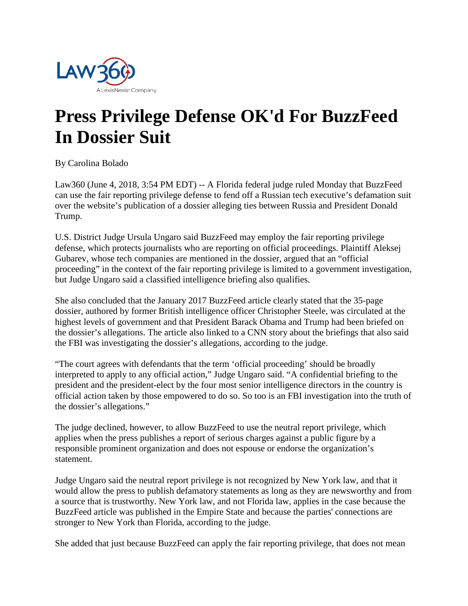

## **Press Privilege Defense OK'd For BuzzFeed In Dossier Suit**

By Carolina Bolado

Law360 (June 4, 2018, 3:54 PM EDT) -- A Florida federal judge ruled Monday that BuzzFeed can use the fair reporting privilege defense to fend off a Russian tech executive's defamation suit over the website's publication of a dossier alleging ties between Russia and President Donald Trump.

U.S. District Judge Ursula Ungaro said BuzzFeed may employ the fair reporting privilege defense, which protects journalists who are reporting on official proceedings. Plaintiff Aleksej Gubarev, whose tech companies are mentioned in the dossier, argued that an "official proceeding" in the context of the fair reporting privilege is limited to a government investigation, but Judge Ungaro said a classified intelligence briefing also qualifies.

She also concluded that the January 2017 BuzzFeed article clearly stated that the 35-page dossier, authored by former British intelligence officer Christopher Steele, was circulated at the highest levels of government and that President Barack Obama and Trump had been briefed on the dossier's allegations. The article also linked to a CNN story about the briefings that also said the FBI was investigating the dossier's allegations, according to the judge.

"The court agrees with defendants that the term 'official proceeding' should be broadly interpreted to apply to any official action," Judge Ungaro said. "A confidential briefing to the president and the president-elect by the four most senior intelligence directors in the country is official action taken by those empowered to do so. So too is an FBI investigation into the truth of the dossier's allegations."

The judge declined, however, to allow BuzzFeed to use the neutral report privilege, which applies when the press publishes a report of serious charges against a public figure by a responsible prominent organization and does not espouse or endorse the organization's statement.

Judge Ungaro said the neutral report privilege is not recognized by New York law, and that it would allow the press to publish defamatory statements as long as they are newsworthy and from a source that is trustworthy. New York law, and not Florida law, applies in the case because the BuzzFeed article was published in the Empire State and because the parties' connections are stronger to New York than Florida, according to the judge.

She added that just because BuzzFeed can apply the fair reporting privilege, that does not mean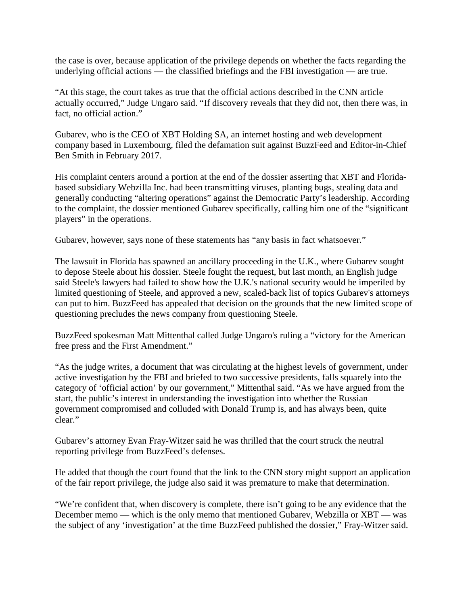the case is over, because application of the privilege depends on whether the facts regarding the underlying official actions — the classified briefings and the FBI investigation — are true.

"At this stage, the court takes as true that the official actions described in the CNN article actually occurred," Judge Ungaro said. "If discovery reveals that they did not, then there was, in fact, no official action."

Gubarev, who is the CEO of XBT Holding SA, an internet hosting and web development company based in Luxembourg, filed the defamation suit against BuzzFeed and Editor-in-Chief Ben Smith in February 2017.

His complaint centers around a portion at the end of the dossier asserting that XBT and Floridabased subsidiary Webzilla Inc. had been transmitting viruses, planting bugs, stealing data and generally conducting "altering operations" against the Democratic Party's leadership. According to the complaint, the dossier mentioned Gubarev specifically, calling him one of the "significant players" in the operations.

Gubarev, however, says none of these statements has "any basis in fact whatsoever."

The lawsuit in Florida has spawned an ancillary proceeding in the U.K., where Gubarev sought to depose Steele about his dossier. Steele fought the request, but last month, an English judge said Steele's lawyers had failed to show how the U.K.'s national security would be imperiled by limited questioning of Steele, and approved a new, scaled-back list of topics Gubarev's attorneys can put to him. BuzzFeed has appealed that decision on the grounds that the new limited scope of questioning precludes the news company from questioning Steele.

BuzzFeed spokesman Matt Mittenthal called Judge Ungaro's ruling a "victory for the American free press and the First Amendment."

"As the judge writes, a document that was circulating at the highest levels of government, under active investigation by the FBI and briefed to two successive presidents, falls squarely into the category of 'official action' by our government," Mittenthal said. "As we have argued from the start, the public's interest in understanding the investigation into whether the Russian government compromised and colluded with Donald Trump is, and has always been, quite clear."

Gubarev's attorney Evan Fray-Witzer said he was thrilled that the court struck the neutral reporting privilege from BuzzFeed's defenses.

He added that though the court found that the link to the CNN story might support an application of the fair report privilege, the judge also said it was premature to make that determination.

"We're confident that, when discovery is complete, there isn't going to be any evidence that the December memo — which is the only memo that mentioned Gubarev, Webzilla or XBT — was the subject of any 'investigation' at the time BuzzFeed published the dossier," Fray-Witzer said.